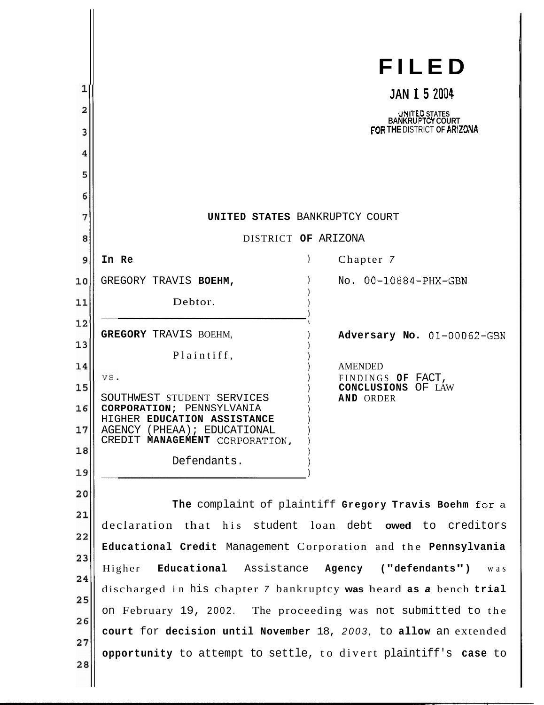| 1<br>2<br>3<br>4<br>5<br>6<br>7 | UNITED STATES BANKRUPTCY COURT                                                                                                          | FILED<br><b>JAN 1 5 2004</b><br>UNITED STATES<br>BANKRUPTCY COURT<br>FOR THE DISTRICT OF ARIZONA |
|---------------------------------|-----------------------------------------------------------------------------------------------------------------------------------------|--------------------------------------------------------------------------------------------------|
| 8                               | DISTRICT OF ARIZONA                                                                                                                     |                                                                                                  |
| 9                               | In Re                                                                                                                                   | Chapter 7                                                                                        |
| 10                              | GREGORY TRAVIS BOEHM,                                                                                                                   | No. 00-10884-PHX-GBN                                                                             |
| 11                              | Debtor.                                                                                                                                 |                                                                                                  |
| 12                              | <b>GREGORY TRAVIS BOEHM,</b>                                                                                                            |                                                                                                  |
| 13                              | Plaintiff,                                                                                                                              | Adversary No. 01-00062-GBN                                                                       |
| 14                              | VS.                                                                                                                                     | <b>AMENDED</b><br>FINDINGS OF FACT,                                                              |
| 15                              | SOUTHWEST STUDENT SERVICES                                                                                                              | CONCLUSIONS OF LAW<br><b>AND ORDER</b>                                                           |
| 16                              | <b>CORPORATION; PENNSYLVANIA</b><br>HIGHER EDUCATION ASSISTANCE                                                                         |                                                                                                  |
| 17                              | AGENCY (PHEAA); EDUCATIONAL<br>CREDIT MANAGEMENT CORPORATION,                                                                           |                                                                                                  |
| 18                              | Defendants.                                                                                                                             |                                                                                                  |
| 19                              |                                                                                                                                         |                                                                                                  |
| 20                              | The complaint of plaintiff Gregory Travis Boehm for a                                                                                   |                                                                                                  |
| 21                              | declaration that his student loan debt <b>owed</b> to creditors                                                                         |                                                                                                  |
| 22                              | Educational Credit Management Corporation and the Pennsylvania<br>Educational Assistance<br>Agency<br>("defendants")<br>Higher<br>w a s |                                                                                                  |
| 23                              |                                                                                                                                         |                                                                                                  |
| 24                              | discharged in his chapter 7 bankruptcy was heard as a bench trial                                                                       |                                                                                                  |
| 25                              | on February 19, 2002. The proceeding was not submitted to the                                                                           |                                                                                                  |
| 26                              | court for decision until November 18, 2003, to allow an extended                                                                        |                                                                                                  |
| 27                              | opportunity to attempt to settle, to divert plaintiff's case to                                                                         |                                                                                                  |
| 28                              |                                                                                                                                         |                                                                                                  |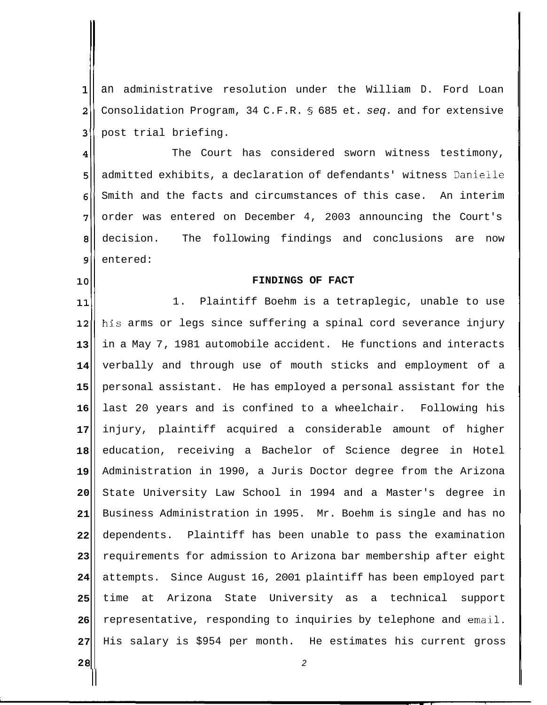1 an administrative resolution under the William D. Ford Loan  $\overline{\mathbf{2}}$ Consolidation Program, 34 C.F.R. *5* 685 et. seq. and for extensive 3 post trial briefing.

 $\overline{\mathbf{4}}$ The Court has considered sworn witness testimony, admitted exhibits, a declaration of defendants' witness Danielle 5 Smith and the facts and circumstances of this case. An interim 6 7 order was entered on December 4, 2003 announcing the Court's decision. The following findings and conclusions are now 8 9 entered:

## **FINDINGS OF FACT**

1. Plaintiff Boehm is a tetraplegic, unable to use 11 his arms or legs since suffering a spinal cord severance injury  $12$ in a May 7, 1981 automobile accident. He functions and interacts **13**  verbally and through use of mouth sticks and employment of a **14**  personal assistant. He has employed a personal assistant for the **15**  last 20 years and is confined to a wheelchair. Following his **16**  injury, plaintiff acquired a considerable amount of higher **17**  education, receiving a Bachelor of Science degree in Hotel **18**  Administration in 1990, a Juris Doctor degree from the Arizona **19**  State University Law School in 1994 and a Master's degree in **20**  Business Administration in 1995. Mr. Boehm is single and has no **21**  dependents. Plaintiff has been unable to pass the examination **22**  requirements for admission to Arizona bar membership after eight **23 24**  attempts. Since August 16, 2001 plaintiff has been employed part time at Arizona State University as a technical support **25**  representative, responding to inquiries by telephone and email. **26**  His salary is \$954 per month. He estimates his current gross **27** 

2

**2 8**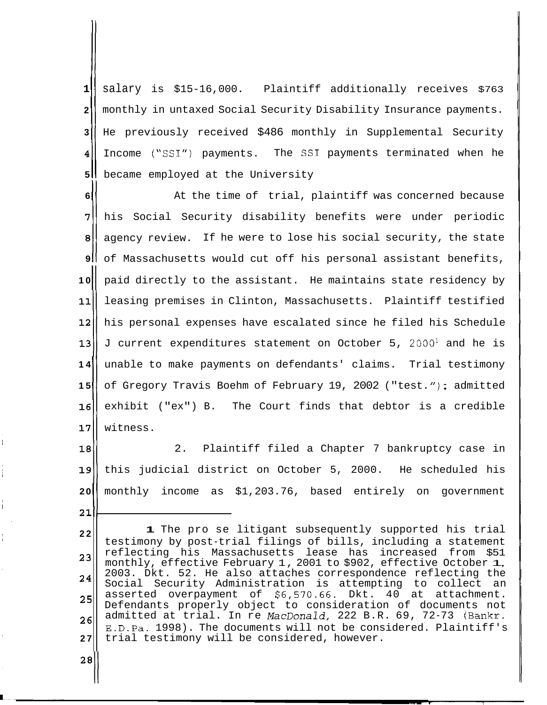salary is \$15-16,000. Plaintiff additionally receives \$763 W monthly in untaxed Social Security Disability Insurance payments. || He previously received \$486 monthly in Supplemental Security Income ("SSI") payments. The SSI payments terminated when he **1** became employed at the University

 **At the time of trial, plaintiff was concerned because 11)** his Social Security disability benefits were under periodic agency review. If he were to lose his social security, the state of Massachusetts would cut off his personal assistant benefits, 10<sup>|</sup> paid directly to the assistant. He maintains state residency by leasing premises in Clinton, Massachusetts. Plaintiff testified his personal expenses have escalated since he filed his Schedule J current expenditures statement on October 5, 2000' and he is unable to make payments on defendants' claims. Trial testimony of Gregory Travis Boehm of February 19, 2002 ("test."); admitted<br>**16** exhibit ("ex") B. The Court finds that debtor is a credible exhibit ("ex") B. The Court finds that debtor is a credible witness.

 $\begin{array}{c} 18 \\ 18 \\ 19 \end{array}$ 2. Plaintiff filed a Chapter 7 bankruptcy case in **1911**  this judicial district on October 5, 2000. He scheduled his **20** monthly income as \$1,203.76, based entirely on government <br>21

**2 2 23 24 25 26 27 1** The pro se litigant subsequently supported his trial testimony by post-trial filings of bills, including a statement reflecting his Massachusetts lease has increased from \$51 monthly, effective February 1, 2001 to \$902, effective October 1, 2003. Dkt. 52. He also attaches correspondence reflecting the Social Security Administration is attempting to collect an asserted overpayment of \$6,570.66. Dkt. 40 at attachment. Defendants properly object to consideration of documents not admitted at trial. In re MacDonald, 222 B.R. 69, 72-73 (Bankr. E.D.Pa. 1998). The documents will not be considered. Plaintiff's trial testimony will be considered, however.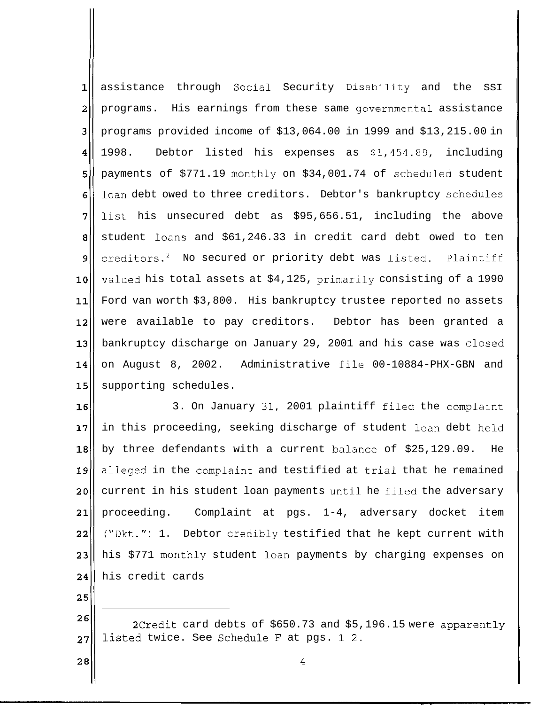$1$ assistance through Social Security Disability and the SSI  $\overline{a}$ programs. His earnings from these same governmental assistance  $\overline{3}$ programs provided income of \$13,064.00 in 1999 and \$13,215.00 in  $\overline{\mathbf{4}}$ 1998. Debtor listed his expenses as \$1,454.89, including 5 payments of \$771.19 monthly on \$34,001.74 of scheduled student loan debt owed to three creditors. Debtor's bankruptcy schedules 6 7 list his unsecured debt as \$95,656.51, including the above 8 student loans and \$61,246.33 in credit card debt owed to ten creditors. $2$  No secured or priority debt was listed. Plaintiff 9 valued his total assets at \$4,125, primarily consisting of a 1990 10 Ford van worth \$3,800. His bankruptcy trustee reported no assets  $11$ were available to pay creditors. Debtor has been granted a  $12$  $13$ bankruptcy discharge on January 29, 2001 and his case was closed on August 8, 2002. Administrative file 00-10884-PHX-GBN and 14  $15$ supporting schedules.

 $16$ 3. On January 31, 2001 plaintiff filed the complaint  $17$ in this proceeding, seeking discharge of student loan debt held  $18$ by three defendants with a current balance of \$25,129.09. He  $19$ alleged in the complaint and testified at trial that he remained  $20<sub>1</sub>$ current in his student loan payments until he filed the adversary proceeding. Complaint at pgs. 1-4, adversary docket item 21  $22^{\circ}$ ("Dkt.") 1. Debtor credibly testified that he kept current with his \$771 monthly student loan payments by charging expenses on  $23<sub>1</sub>$ his credit cards 24

25

 $26$ 2Credit card debts of \$650.73 and \$5,196.15 were apparently listed twice. See Schedule F at pgs. 1-2. 27

4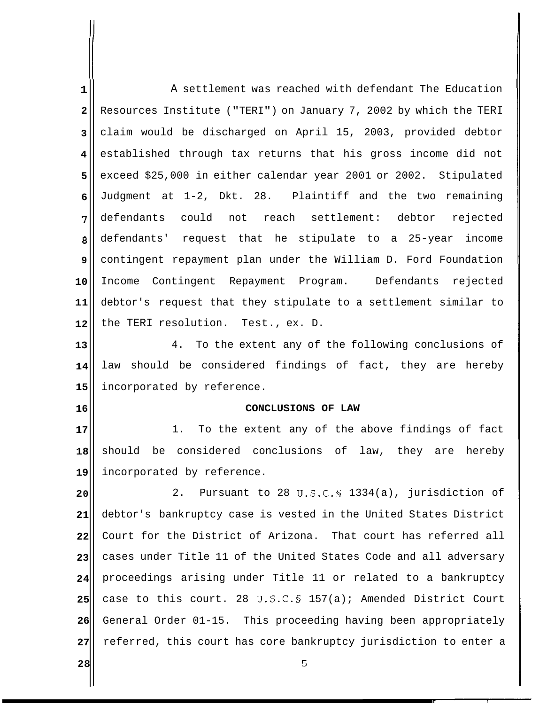**1 2 3 4 5 6 7 8 9 10 11 12**  A settlement was reached with defendant The Education Resources Institute ("TERI") on January 7, 2002 by which the TERI claim would be discharged on April 15, 2003, provided debtor established through tax returns that his gross income did not exceed \$25,000 in either calendar year 2001 or 2002. Stipulated Judgment at 1-2, Dkt. 28. Plaintiff and the two remaining defendants could not reach settlement: debtor rejected defendants' request that he stipulate to a 25-year income contingent repayment plan under the William D. Ford Foundation Income Contingent Repayment Program. Defendants rejected debtor's request that they stipulate to a settlement similar to the TERI resolution. Test., ex. D.

**13 14 15**  4. To the extent any of the following conclusions of law should be considered findings of fact, they are hereby incorporated by reference.

## **CONCLUSIONS OF LAW**

**17 18 19**  1. To the extent any of the above findings of fact should be considered conclusions of law, they are hereby incorporated by reference.

**2 0 21 22 23 24 25 26 27**  2. Pursuant to 28 U.S.C.5 1334 (a), jurisdiction of debtor's bankruptcy case is vested in the United States District Court for the District of Arizona. That court has referred all cases under Title 11 of the United States Code and all adversary proceedings arising under Title 11 or related to a bankruptcy case to this court. 28 U.S.C.§ 157 (a); Amended District Court General Order 01-15. This proceeding having been appropriately referred, this court has core bankruptcy jurisdiction to enter a

5

**2 8**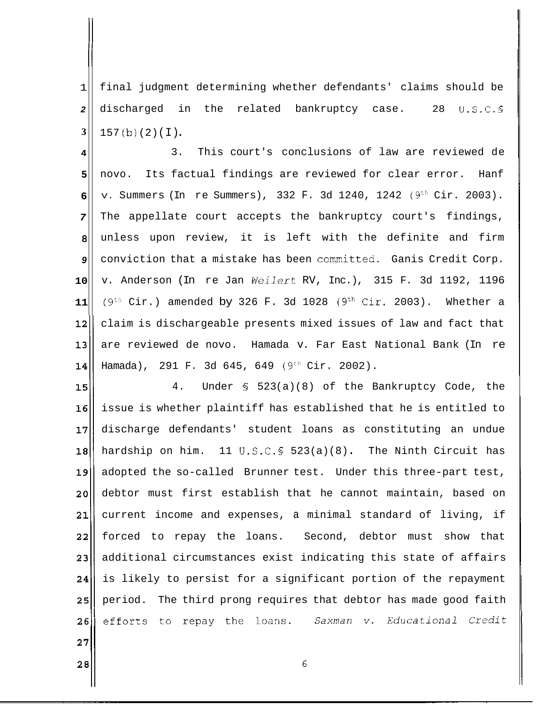1 **2 3**  final judgment determining whether defendants' claims should be discharged in the related bankruptcy case. 28 U.S.C.5  $157(b)(2)(1)$ .

3. This court's conclusions of law are reviewed de **4**  novo. Its factual findings are reviewed for clear error. Hanf **5**  v. Summers (In re Summers), 332 F. 3d 1240, 1242 (9<sup>th</sup> Cir. 2003). **6**  The appellate court accepts the bankruptcy court's findings, **7**  unless upon review, it is left with the definite and firm **8**  conviction that a mistake has been committed. Ganis Credit Corp. **9**  v. Anderson (In re Jan Weilert RV, Inc.), 315 F. 3d 1192, 1196 **10**   $(9<sup>th</sup> Cir.)$  amended by 326 F. 3d 1028  $(9<sup>th</sup> Cir. 2003)$ . Whether a **11**  claim is dischargeable presents mixed issues of law and fact that  $12$ are reviewed de novo. Hamada v. Far East National Bank (In re  $13$ Hamada), 291 F. 3d 645, 649 (9<sup>th</sup> Cir. 2002).  $14$ 

4. Under § 523 (a) (8) of the Bankruptcy Code, the 15 issue is whether plaintiff has established that he is entitled to  $16<sup>l</sup>$  $17$ discharge defendants' student loans as constituting an undue hardship on him. 11 U.S.C.5 523 (a) (8) . The Ninth Circuit has  $18$ adopted the so-called Brunner test. Under this three-part test, 19 20 debtor must first establish that he cannot maintain, based on current income and expenses, a minimal standard of living, if  $21$  $22$ forced to repay the loans. Second, debtor must show that additional circumstances exist indicating this state of affairs 23 is likely to persist for a significant portion of the repayment  $24$ period. The third prong requires that debtor has made good faith  $25$ efforts to repay the loans. Saxman v. Educational Credit 26

 $27$ 

28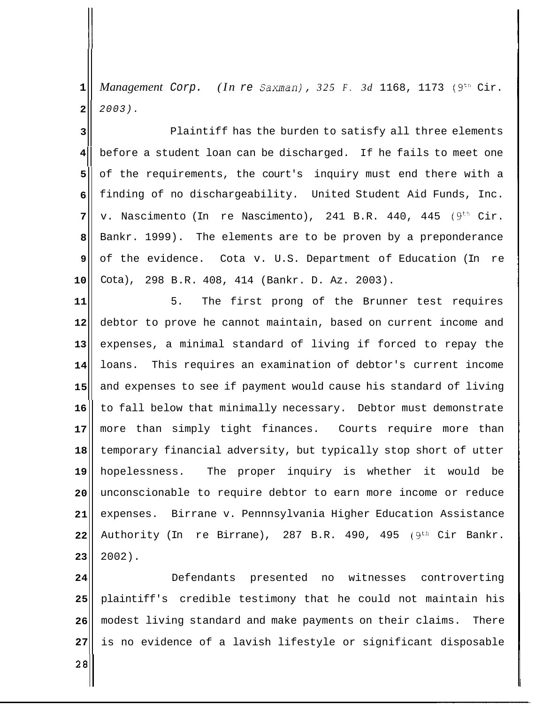**1**  *Management* Corp. *(In* re *Saxman), 325 F. 3d* 1168, 1173 (9"' Cir. **2**  2003).

**4** before a student loan can be discharged. If he fails to meet one **3**  Plaintiff has the burden to satisfy all three elements **5 6 7 8 9 10**  of the requirements, the court's inquiry must end there with a finding of no dischargeability. United Student Aid Funds, Inc. v. Nascimento (In re Nascimento), 241 B.R. 440, 445  $(9<sup>th</sup>$  Cir. Bankr. 1999). The elements are to be proven by a preponderance of the evidence. Cota v. U.S. Department of Education (In re Cota), 298 B.R. 408, 414 (Bankr. D. Az. 2003).

**11 12 13 14 15**  5. The first prong of the Brunner test requires debtor to prove he cannot maintain, based on current income and expenses, a minimal standard of living if forced to repay the loans. This requires an examination of debtor's current income and expenses to see if payment would cause his standard of living **16 17 18 19 20 21 22 23**  to fall below that minimally necessary. Debtor must demonstrate more than simply tight finances. Courts require more than temporary financial adversity, but typically stop short of utter hopelessness. The proper inquiry is whether it would be unconscionable to require debtor to earn more income or reduce expenses. Birrane v. Pennnsylvania Higher Education Assistance Authority (In re Birrane), 287 B.R. 490, 495 (9<sup>th</sup> Cir Bankr. 2002).

**24 25 26 27**  Defendants presented no witnesses controverting plaintiff's credible testimony that he could not maintain his modest living standard and make payments on their claims. There is no evidence of a lavish lifestyle or significant disposable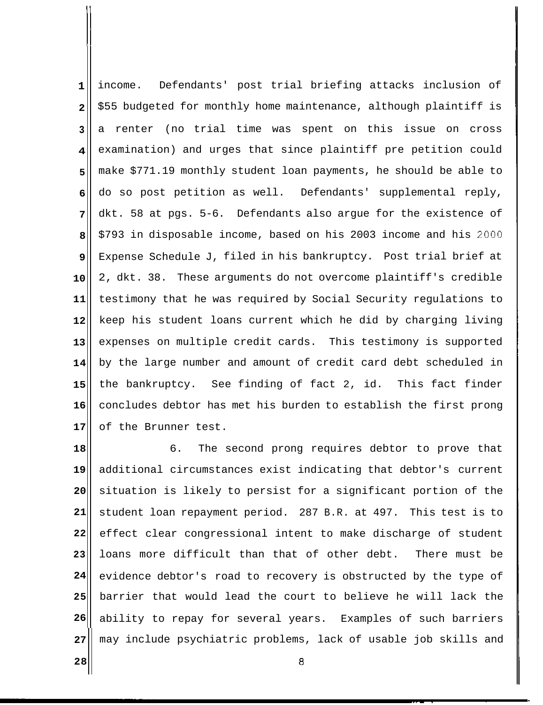**1 2 3 4 5 6 7 8 9 10 11 12 13 14 15 16 17**  income. Defendants' post trial briefing attacks inclusion of \$55 budgeted for monthly home maintenance, although plaintiff is a renter (no trial time was spent on this issue on cross examination) and urges that since plaintiff pre petition could make \$771.19 monthly student loan payments, he should be able to do so post petition as well. Defendants' supplemental reply, dkt. 58 at pgs. 5-6. Defendants also argue for the existence of \$793 in disposable income, based on his 2003 income and his 2000 Expense Schedule J, filed in his bankruptcy. Post trial brief at 2, dkt. 38. These arguments do not overcome plaintiff's credible testimony that he was required by Social Security regulations to keep his student loans current which he did by charging living expenses on multiple credit cards. This testimony is supported by the large number and amount of credit card debt scheduled in the bankruptcy. See finding of fact 2, id. This fact finder concludes debtor has met his burden to establish the first prong of the Brunner test.

**18 19 20 21 22 23 24 25 26**  6. The second prong requires debtor to prove that additional circumstances exist indicating that debtor's current situation is likely to persist for a significant portion of the student loan repayment period. 287 B.R. at 497. This test is to effect clear congressional intent to make discharge of student loans more difficult than that of other debt. There must be evidence debtor's road to recovery is obstructed by the type of barrier that would lead the court to believe he will lack the ability to repay for several years. Examples of such barriers **27**  may include psychiatric problems, lack of usable job skills and

8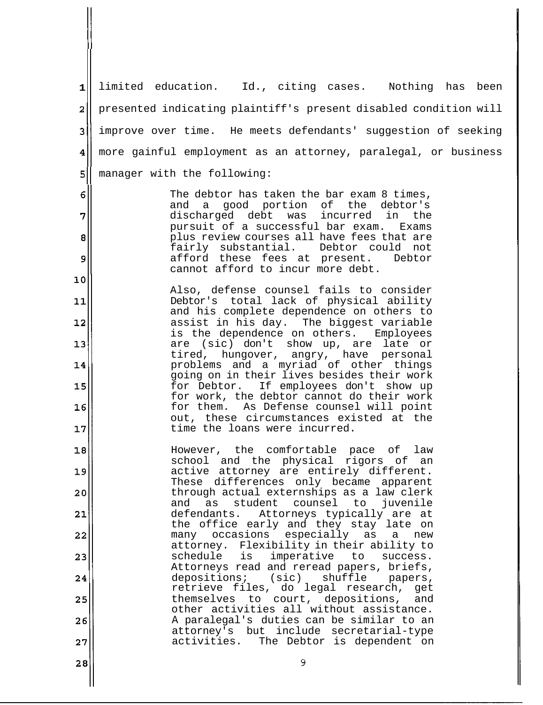**1**  limited education. Id., citing cases. Nothing has been 211 presented indicating plaintiff's present disabled condition will **311** improve over time. He meets defendants' suggestion of seeking  $\overline{\mathbf{4}}$ more gainful employment as an attorney, paralegal, or business 411 5<sup>|</sup> manager with the following: 6 The debtor has taken the bar exam 8 times, and a good portion of the debtor's<br>discharged debt was incurred in the  $\overline{7}$ discharged debt was pursuit of a successful bar exam. Exams  $\bf{8}$ plus review courses all have fees that are fairly substantial. Debtor could not 9 afford these fees at present. Debtor cannot afford to incur more debt.  $10$ Also, defense counsel fails to consider Debtor's total lack of physical ability  $11$ and his complete dependence on others to  $12$ assist in his day. The biggest variable is the dependence on others. Employees  $13$ are (sic) don't show up, are late or tired, hungover, angry, have personal problems and a myriad of other things 14 going on in their lives besides their work<br>for Debtor. If employees don't show up 15 If employees don't show up for work, the debtor cannot do their work for them. As Defense counsel will point 16 out, these circumstances existed at the time the loans were incurred.  $17$  $18$ However, the comfortable pace of law school and the physical rigors of an 19 active attorney are entirely different. These differences only became apparent through actual externships as a law clerk  $20$ and as student counsel to juvenile  $21$ defendants. Attorneys typically are at the office early and they stay late on  $22$ many occasions especially as a new attorney. Flexibility in their ability to  $23$ schedule is imperative to success. Attorneys read and reread papers, briefs,<br>depositions; (sic) shuffle papers,  $24$ depositions; (sic) shuffle papers, retrieve files, do legal research, get 25 themselves to court, depositions, and other activities all without assistance. A paralegal's duties can be similar to an 26 attorney's but include secretarial-type activities. The Debtor is dependent on  $27$ 9 28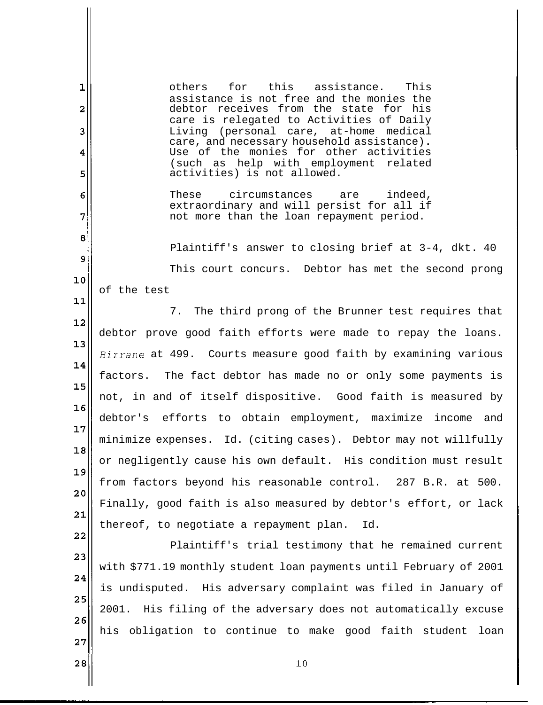$\mathbf{1}$ others for this assistance. This assistance is not free and the monies the  $\overline{\mathbf{z}}$ debtor receives from the state for his care is relegated to Activities of Daily 3 Living (personal care, at-home medical care, and necessary household assistance) . Use of the monies for other activities 4 (such as help with employment related 5 activities) is not allowed. These circumstances are indeed, 6 extraordinary and will persist for all if 7 not more than the loan repayment period. 8 Plaintiff's answer to closing brief at 3-4, dkt. 40 9 This court concurs. Debtor has met the second prong 10 of the test  $11$ 7. The third prong of the Brunner test requires that  $12$ debtor prove good faith efforts were made to repay the loans.  $13$ Birrane at 499. Courts measure good faith by examining various 14 factors. The fact debtor has made no or only some payments is 15 not, in and of itself dispositive. Good faith is measured by  $16$ debtor's efforts to obtain employment, maximize income and  $17$ minimize expenses. Id. (citing cases). Debtor may not willfully  $18$ or negligently cause his own default. His condition must result 19 from factors beyond his reasonable control. 287 B.R. at 500.  $20$ Finally, good faith is also measured by debtor's effort, or lack  $21$ thereof, to negotiate a repayment plan. Id. 22 Plaintiff's trial testimony that he remained current 23 with \$771.19 monthly student loan payments until February of 2001 24 is undisputed. His adversary complaint was filed in January of 25 2001. His filing of the adversary does not automatically excuse 26 his obligation to continue to make good faith student loan 27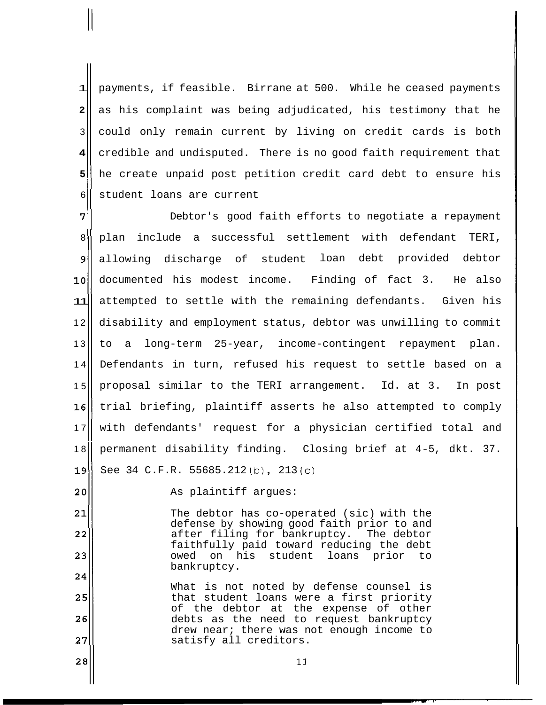1 5 he create unpaid post petition credit card debt to ensure his<br>6 student loans are current payments, if feasible. Birrane at 500. While he ceased payments **2**  3 **4**  student loans are current as his complaint was being adjudicated, his testimony that he could only remain current by living on credit cards is both credible and undisputed. There is no good faith requirement that

7 Debtor's good faith efforts to negotiate a repayment 7~~ 8|| plan include a successful settlement with defendant TERI, 9| allowing discharge of student loan debt provided debtor loll documented his modest income. Finding of fact 3. He also attempted to settle with the remaining defendants. Given his 11 12 disability and employment status, debtor was unwilling to commit 13 to a long-term 25-year, income-contingent repayment plan. Defendants in turn, refused his request to settle based on a 14 proposal similar to the TERI arrangement. Id. at 3. In post 15 16|| trial briefing, plaintiff asserts he also attempted to comply 17|| with defendants' request for a physician certified total and 18<br>permanent disability finding. Closing brief at 4-5, dkt. 37.<br>39<br>20<br>39<br>Bee 34 C.F.R. 55685.212 (b), 213 (c)<br>As plaintiff arques:

28

 $\mathbf{\mu}$ 

As plaintiff argues:

 $21$ The debtor has co-operated (sic) with the defense by showing good faith prior to and  $22$ after filing for bankruptcy. The debtor faithfully paid toward reducing the debt 23 owed on his student loans prior to bankruptcy. 24

What is not noted by defense counsel is 25 that student loans were a first priority of the debtor at the expense of other 26 debts as the need to request bankruptcy drew near; there was not enough income to 27 satisfy all creditors.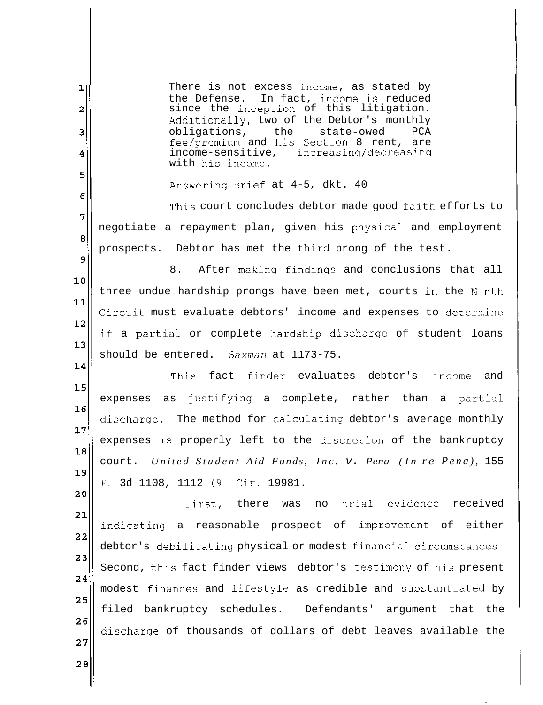$\mathbf{1}$ There is not excess income, as stated by the Defense. In fact, income is reduced since the inception of this litigation.  $\overline{2}$ Additionally, two of the Debtor's monthly obligations, the state-owed PCA 3 fee/premium and his Section 8 rent, are increasing/decreasing 4 with his income. 5 Answering Brief at 4-5, dkt. 40 6 This court concludes debtor made good faith efforts to 7 negotiate a repayment plan, given his physical and employment 8 prospects. Debtor has met the third prong of the test. 9 8. After making findings and conclusions that all 10 three undue hardship prongs have been met, courts in the Ninth  $11$ Circuit must evaluate debtors' income and expenses to determine  $12$ if a partial or complete hardship discharge of student loans  $13$ should be entered. *Saxman* at 1173-75. 14 This fact finder evaluates debtor's income and  $15$ expenses as justifying a complete, rather than a partial  $16$ discharge. The method for calculating debtor's average monthly 17 expenses is properly left to the discretion of the bankruptcy  $18$ court. *United Student Aid Funds, Inc.* v. *Pena (In re Pena),* 155 19 *F.* 3d 1108, 1112 (9<sup>th</sup> Cir. 19981.  $20$ First, there was no trial evidence received  $21$ indicating a reasonable prospect of improvement of either  $22$ debtor's debilitating physical or modest financial circumstances 23 Second, this fact finder views debtor's testimony of his present 24 modest finances and lifestyle as credible and substantiated by 25 filed bankruptcy schedules. Defendants' argument that the 26 discharqe of thousands of dollars of debt leaves available the  $27$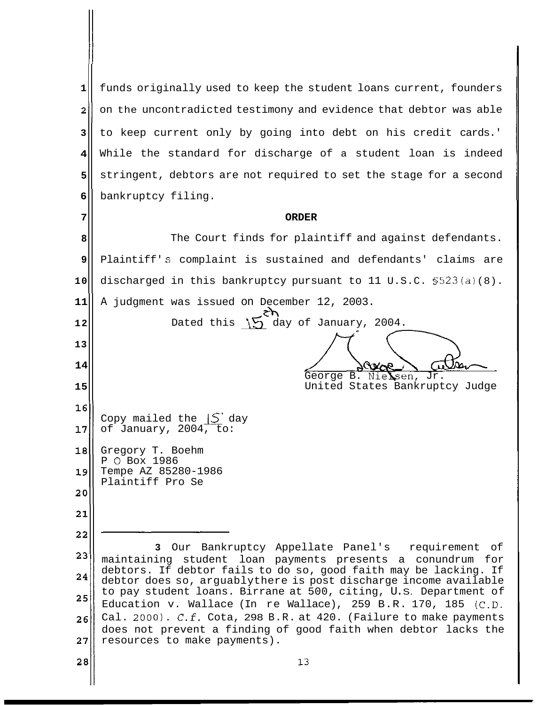**1** funds originally used to keep the student loans current, founders **211** on the uncontradicted testimony and evidence that debtor was able to keep current only by going into debt on his credit cards.' **3**  While the standard for discharge of a student loan is indeed **4**  stringent, debtors are not required to set the stage for a second **5 6**  bankruptcy filing. **ORDER 7**  The Court finds for plaintiff and against defendants. **8**  Plaintiff' s complaint is sustained and defendants' claims are **9**  discharged in this bankruptcy pursuant to 11 U.S.C.  $$523(a)(8)$ . **10**  was issued on December 12, 2003.<br>Dated this  $\sum_{i=1}^{n}$  day of January, 2004. A judgment was issued on December 12, 2003. **11 ch 12 13 14**   $Cov_{\bullet}$ George B. Nie Sen, Jr. United States Bankruptcy Judge **15**   $16$ Copy mailed the  $|S'$  day 17 of January, 2004, to: 18 Gregory T. Boehm P 0 Box 1986 19 Tempe AZ 85280-1986 Plaintiff Pro Se  $20$ 21  $22$ **3** Our Bankruptcy Appellate Panel's requirement of 23 maintaining student loan payments presents a conundrum for debtors. If debtor fails to do so, good faith may be lacking. If 24 debtor does so, arguablythere is post discharge income available to pay student loans. Birrane at 500, citing, U. S. Department of 25 Education v. Wallace (In re Wallace), 259 B.R. 170, 185 (C.D. Cal. 2000).  $C.f.$  Cota, 298 B.R. at 420. (Failure to make payments 26 does not prevent a finding of good faith when debtor lacks the resources to make payments). 27  $28$  $13$